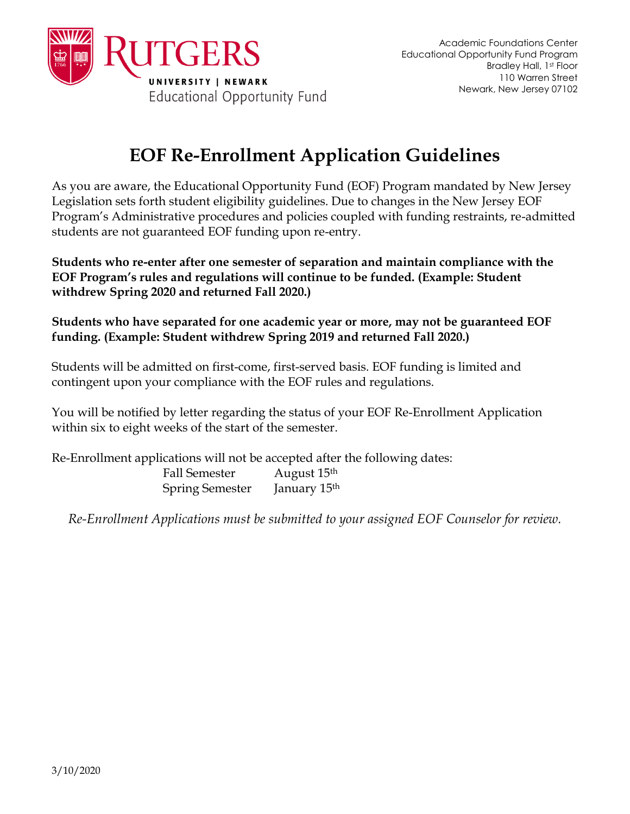

## **EOF Re-Enrollment Application Guidelines**

As you are aware, the Educational Opportunity Fund (EOF) Program mandated by New Jersey Legislation sets forth student eligibility guidelines. Due to changes in the New Jersey EOF Program's Administrative procedures and policies coupled with funding restraints, re-admitted students are not guaranteed EOF funding upon re-entry.

**Students who re-enter after one semester of separation and maintain compliance with the EOF Program's rules and regulations will continue to be funded. (Example: Student withdrew Spring 2020 and returned Fall 2020.)**

**Students who have separated for one academic year or more, may not be guaranteed EOF funding. (Example: Student withdrew Spring 2019 and returned Fall 2020.)**

Students will be admitted on first-come, first-served basis. EOF funding is limited and contingent upon your compliance with the EOF rules and regulations.

You will be notified by letter regarding the status of your EOF Re-Enrollment Application within six to eight weeks of the start of the semester.

Re-Enrollment applications will not be accepted after the following dates: Fall Semester August 15<sup>th</sup> Spring Semester January 15th

*Re-Enrollment Applications must be submitted to your assigned EOF Counselor for review.*